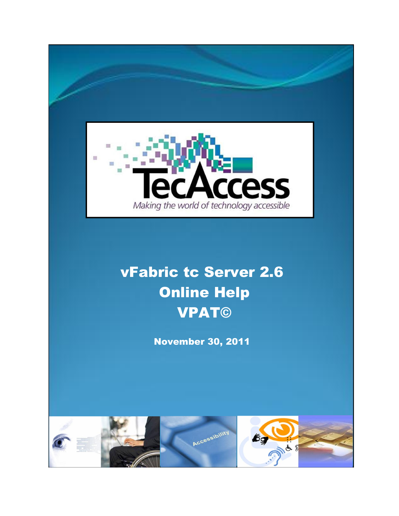

# vFabric tc Server 2.6 Online Help VPAT©

November 30, 2011

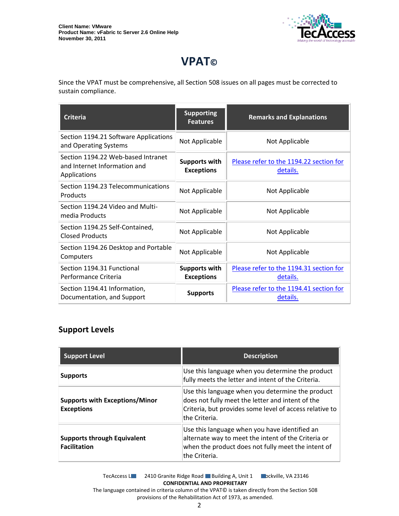

## **VPAT©**

Since the VPAT must be comprehensive, all Section 508 issues on all pages must be corrected to sustain compliance.

| <b>Criteria</b>                                                                    | <b>Supporting</b><br><b>Features</b>      | <b>Remarks and Explanations</b>                     |
|------------------------------------------------------------------------------------|-------------------------------------------|-----------------------------------------------------|
| Section 1194.21 Software Applications<br>and Operating Systems                     | Not Applicable                            | Not Applicable                                      |
| Section 1194.22 Web-based Intranet<br>and Internet Information and<br>Applications | <b>Supports with</b><br><b>Exceptions</b> | Please refer to the 1194.22 section for<br>details. |
| Section 1194.23 Telecommunications<br>Products                                     | Not Applicable                            | Not Applicable                                      |
| Section 1194.24 Video and Multi-<br>media Products                                 | Not Applicable                            | Not Applicable                                      |
| Section 1194.25 Self-Contained,<br><b>Closed Products</b>                          | Not Applicable                            | Not Applicable                                      |
| Section 1194.26 Desktop and Portable<br>Computers                                  | Not Applicable                            | Not Applicable                                      |
| Section 1194.31 Functional<br>Performance Criteria                                 | <b>Supports with</b><br><b>Exceptions</b> | Please refer to the 1194.31 section for<br>details. |
| Section 1194.41 Information,<br>Documentation, and Support                         | <b>Supports</b>                           | Please refer to the 1194.41 section for<br>details. |

#### **Support Levels**

| <b>Support Level</b>                                       | <b>Description</b>                                                                                                                                                               |
|------------------------------------------------------------|----------------------------------------------------------------------------------------------------------------------------------------------------------------------------------|
| <b>Supports</b>                                            | Use this language when you determine the product<br>fully meets the letter and intent of the Criteria.                                                                           |
| <b>Supports with Exceptions/Minor</b><br><b>Exceptions</b> | Use this language when you determine the product<br>does not fully meet the letter and intent of the<br>Criteria, but provides some level of access relative to<br>the Criteria. |
| <b>Supports through Equivalent</b><br><b>Facilitation</b>  | Use this language when you have identified an<br>alternate way to meet the intent of the Criteria or<br>when the product does not fully meet the intent of<br>the Criteria.      |

TecAccess LLC 2410 Granite Ridge Road Building A, Unit 1 Dickville, VA 23146 **CONFIDENTIAL AND PROPRIETARY** The language contained in criteria column of the VPAT© is taken directly from the Section 508

provisions of the Rehabilitation Act of 1973, as amended.

2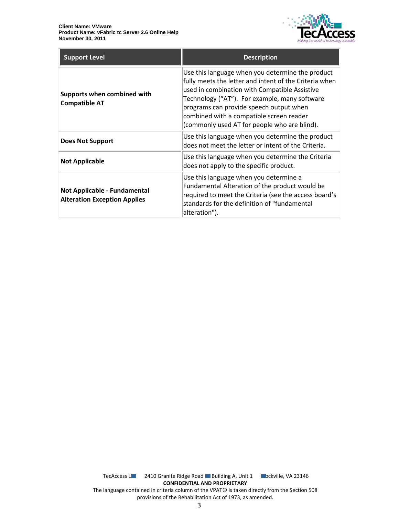

| <b>Support Level</b>                                                | <b>Description</b>                                                                                                                                                                                                                                                                                                                                  |
|---------------------------------------------------------------------|-----------------------------------------------------------------------------------------------------------------------------------------------------------------------------------------------------------------------------------------------------------------------------------------------------------------------------------------------------|
| Supports when combined with<br><b>Compatible AT</b>                 | Use this language when you determine the product<br>fully meets the letter and intent of the Criteria when<br>used in combination with Compatible Assistive<br>Technology ("AT"). For example, many software<br>programs can provide speech output when<br>combined with a compatible screen reader<br>(commonly used AT for people who are blind). |
| <b>Does Not Support</b>                                             | Use this language when you determine the product<br>does not meet the letter or intent of the Criteria.                                                                                                                                                                                                                                             |
| <b>Not Applicable</b>                                               | Use this language when you determine the Criteria<br>does not apply to the specific product.                                                                                                                                                                                                                                                        |
| Not Applicable - Fundamental<br><b>Alteration Exception Applies</b> | Use this language when you determine a<br>Fundamental Alteration of the product would be<br>required to meet the Criteria (see the access board's<br>standards for the definition of "fundamental<br>alteration").                                                                                                                                  |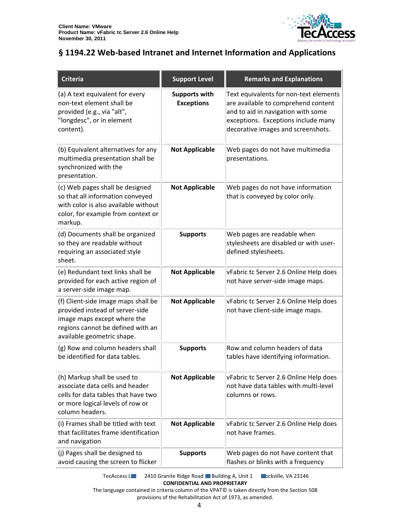

### <span id="page-3-0"></span>**§ 1194.22 Web-based Intranet and Internet Information and Applications**

| <b>Criteria</b>                                                                                                                                                          | <b>Support Level</b>                      | <b>Remarks and Explanations</b>                                                                                                                                                                  |
|--------------------------------------------------------------------------------------------------------------------------------------------------------------------------|-------------------------------------------|--------------------------------------------------------------------------------------------------------------------------------------------------------------------------------------------------|
| (a) A text equivalent for every<br>non-text element shall be<br>provided (e.g., via "alt",<br>"longdesc", or in element<br>content).                                     | <b>Supports with</b><br><b>Exceptions</b> | Text equivalents for non-text elements<br>are available to comprehend content<br>and to aid in navigation with some<br>exceptions. Exceptions include many<br>decorative images and screenshots. |
| (b) Equivalent alternatives for any<br>multimedia presentation shall be<br>synchronized with the<br>presentation.                                                        | <b>Not Applicable</b>                     | Web pages do not have multimedia<br>presentations.                                                                                                                                               |
| (c) Web pages shall be designed<br>so that all information conveyed<br>with color is also available without<br>color, for example from context or<br>markup.             | <b>Not Applicable</b>                     | Web pages do not have information<br>that is conveyed by color only.                                                                                                                             |
| (d) Documents shall be organized<br>so they are readable without<br>requiring an associated style<br>sheet.                                                              | <b>Supports</b>                           | Web pages are readable when<br>stylesheets are disabled or with user-<br>defined stylesheets.                                                                                                    |
| (e) Redundant text links shall be<br>provided for each active region of<br>a server-side image map.                                                                      | <b>Not Applicable</b>                     | vFabric tc Server 2.6 Online Help does<br>not have server-side image maps.                                                                                                                       |
| (f) Client-side image maps shall be<br>provided instead of server-side<br>image maps except where the<br>regions cannot be defined with an<br>available geometric shape. | <b>Not Applicable</b>                     | vFabric tc Server 2.6 Online Help does<br>not have client-side image maps.                                                                                                                       |
| (g) Row and column headers shall<br>be identified for data tables.                                                                                                       | <b>Supports</b>                           | Row and column headers of data<br>tables have identifying information.                                                                                                                           |
| (h) Markup shall be used to<br>associate data cells and header<br>cells for data tables that have two<br>or more logical levels of row or<br>column headers.             | <b>Not Applicable</b>                     | vFabric tc Server 2.6 Online Help does<br>not have data tables with multi-level<br>columns or rows.                                                                                              |
| (i) Frames shall be titled with text<br>that facilitates frame identification<br>and navigation                                                                          | <b>Not Applicable</b>                     | vFabric tc Server 2.6 Online Help does<br>not have frames.                                                                                                                                       |
| (j) Pages shall be designed to<br>avoid causing the screen to flicker                                                                                                    | <b>Supports</b>                           | Web pages do not have content that<br>flashes or blinks with a frequency                                                                                                                         |

TecAccess L**LC** 2410 Granite Ridge Road Building A, Unit 1 **Rockville, VA 23146 CONFIDENTIAL AND PROPRIETARY**

The language contained in criteria column of the VPAT© is taken directly from the Section 508 provisions of the Rehabilitation Act of 1973, as amended.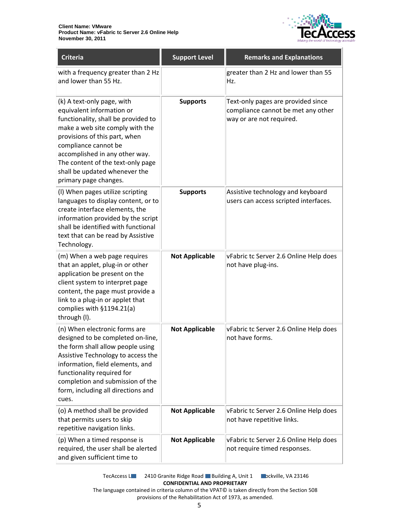

| <b>Criteria</b>                                                                                                                                                                                                                                                                                                             | <b>Support Level</b>  | <b>Remarks and Explanations</b>                                                                      |
|-----------------------------------------------------------------------------------------------------------------------------------------------------------------------------------------------------------------------------------------------------------------------------------------------------------------------------|-----------------------|------------------------------------------------------------------------------------------------------|
| with a frequency greater than 2 Hz<br>and lower than 55 Hz.                                                                                                                                                                                                                                                                 |                       | greater than 2 Hz and lower than 55<br>Hz.                                                           |
| (k) A text-only page, with<br>equivalent information or<br>functionality, shall be provided to<br>make a web site comply with the<br>provisions of this part, when<br>compliance cannot be<br>accomplished in any other way.<br>The content of the text-only page<br>shall be updated whenever the<br>primary page changes. | <b>Supports</b>       | Text-only pages are provided since<br>compliance cannot be met any other<br>way or are not required. |
| (I) When pages utilize scripting<br>languages to display content, or to<br>create interface elements, the<br>information provided by the script<br>shall be identified with functional<br>text that can be read by Assistive<br>Technology.                                                                                 | <b>Supports</b>       | Assistive technology and keyboard<br>users can access scripted interfaces.                           |
| (m) When a web page requires<br>that an applet, plug-in or other<br>application be present on the<br>client system to interpret page<br>content, the page must provide a<br>link to a plug-in or applet that<br>complies with §1194.21(a)<br>through (I).                                                                   | <b>Not Applicable</b> | vFabric tc Server 2.6 Online Help does<br>not have plug-ins.                                         |
| (n) When electronic forms are<br>designed to be completed on-line,<br>the form shall allow people using<br>Assistive Technology to access the<br>information, field elements, and<br>functionality required for<br>completion and submission of the<br>form, including all directions and<br>cues.                          | <b>Not Applicable</b> | vFabric tc Server 2.6 Online Help does<br>not have forms.                                            |
| (o) A method shall be provided<br>that permits users to skip<br>repetitive navigation links.                                                                                                                                                                                                                                | <b>Not Applicable</b> | vFabric tc Server 2.6 Online Help does<br>not have repetitive links.                                 |
| (p) When a timed response is<br>required, the user shall be alerted<br>and given sufficient time to                                                                                                                                                                                                                         | <b>Not Applicable</b> | vFabric tc Server 2.6 Online Help does<br>not require timed responses.                               |

TecAccess L**LC** 2410 Granite Ridge Road Building A, Unit 1 **Rockville, VA 23146 CONFIDENTIAL AND PROPRIETARY**

The language contained in criteria column of the VPAT© is taken directly from the Section 508 provisions of the Rehabilitation Act of 1973, as amended.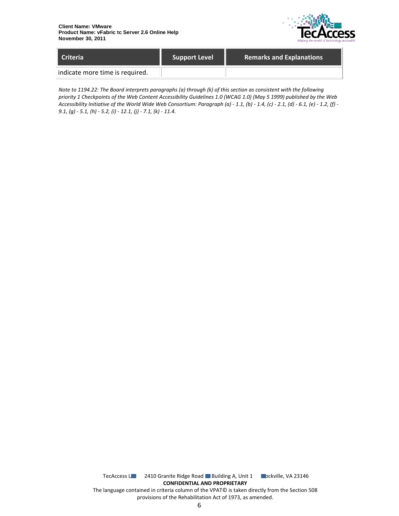

| <b>Criteria</b>                 | <b>Support Level</b> | <b>Remarks and Explanations</b> |
|---------------------------------|----------------------|---------------------------------|
| indicate more time is required. |                      |                                 |

*Note to 1194.22: The Board interprets paragraphs (a) through (k) of this section as consistent with the following priority 1 Checkpoints of the Web Content Accessibility Guidelines 1.0 (WCAG 1.0) (May 5 1999) published by the Web Accessibility Initiative of the World Wide Web Consortium: Paragraph (a) - 1.1, (b) - 1.4, (c) - 2.1, (d) - 6.1, (e) - 1.2, (f) - 9.1, (g) - 5.1, (h) - 5.2, (i) - 12.1, (j) - 7.1, (k) - 11.4.*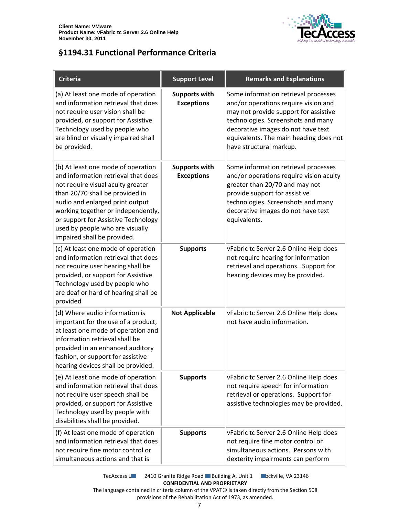

### <span id="page-6-0"></span>**§1194.31 Functional Performance Criteria**

| <b>Criteria</b>                                                                                                                                                                                                                                                                                                                     | <b>Support Level</b>                      | <b>Remarks and Explanations</b>                                                                                                                                                                                                                                        |
|-------------------------------------------------------------------------------------------------------------------------------------------------------------------------------------------------------------------------------------------------------------------------------------------------------------------------------------|-------------------------------------------|------------------------------------------------------------------------------------------------------------------------------------------------------------------------------------------------------------------------------------------------------------------------|
| (a) At least one mode of operation<br>and information retrieval that does<br>not require user vision shall be<br>provided, or support for Assistive<br>Technology used by people who<br>are blind or visually impaired shall<br>be provided.                                                                                        | <b>Supports with</b><br><b>Exceptions</b> | Some information retrieval processes<br>and/or operations require vision and<br>may not provide support for assistive<br>technologies. Screenshots and many<br>decorative images do not have text<br>equivalents. The main heading does not<br>have structural markup. |
| (b) At least one mode of operation<br>and information retrieval that does<br>not require visual acuity greater<br>than 20/70 shall be provided in<br>audio and enlarged print output<br>working together or independently,<br>or support for Assistive Technology<br>used by people who are visually<br>impaired shall be provided. | <b>Supports with</b><br><b>Exceptions</b> | Some information retrieval processes<br>and/or operations require vision acuity<br>greater than 20/70 and may not<br>provide support for assistive<br>technologies. Screenshots and many<br>decorative images do not have text<br>equivalents.                         |
| (c) At least one mode of operation<br>and information retrieval that does<br>not require user hearing shall be<br>provided, or support for Assistive<br>Technology used by people who<br>are deaf or hard of hearing shall be<br>provided                                                                                           | <b>Supports</b>                           | vFabric tc Server 2.6 Online Help does<br>not require hearing for information<br>retrieval and operations. Support for<br>hearing devices may be provided.                                                                                                             |
| (d) Where audio information is<br>important for the use of a product,<br>at least one mode of operation and<br>information retrieval shall be<br>provided in an enhanced auditory<br>fashion, or support for assistive<br>hearing devices shall be provided.                                                                        | <b>Not Applicable</b>                     | vFabric tc Server 2.6 Online Help does<br>not have audio information.                                                                                                                                                                                                  |
| (e) At least one mode of operation<br>and information retrieval that does<br>not require user speech shall be<br>provided, or support for Assistive<br>Technology used by people with<br>disabilities shall be provided.                                                                                                            | <b>Supports</b>                           | vFabric tc Server 2.6 Online Help does<br>not require speech for information<br>retrieval or operations. Support for<br>assistive technologies may be provided.                                                                                                        |
| (f) At least one mode of operation<br>and information retrieval that does<br>not require fine motor control or<br>simultaneous actions and that is                                                                                                                                                                                  | <b>Supports</b>                           | vFabric tc Server 2.6 Online Help does<br>not require fine motor control or<br>simultaneous actions. Persons with<br>dexterity impairments can perform                                                                                                                 |

TecAccess L**LC** 2410 Granite Ridge Road Building A, Unit 1 **Rockville, VA 23146 CONFIDENTIAL AND PROPRIETARY**

The language contained in criteria column of the VPAT© is taken directly from the Section 508 provisions of the Rehabilitation Act of 1973, as amended.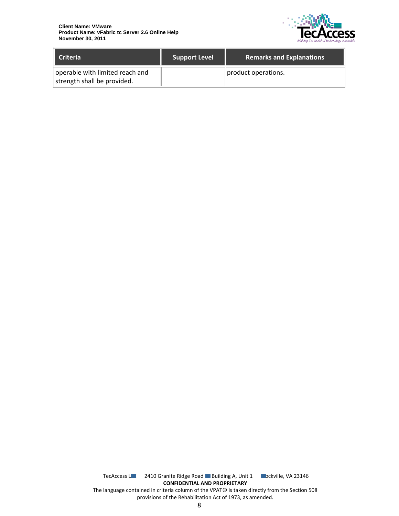

| <b>Criteria</b>                                                | <b>Support Level</b> | <b>Remarks and Explanations</b> |
|----------------------------------------------------------------|----------------------|---------------------------------|
| operable with limited reach and<br>strength shall be provided. |                      | product operations.             |

TecAccess L**LC** 2410 Granite Ridge Road Building A, Unit 1 **Rockville, VA 23146 CONFIDENTIAL AND PROPRIETARY** The language contained in criteria column of the VPAT© is taken directly from the Section 508 provisions of the Rehabilitation Act of 1973, as amended.